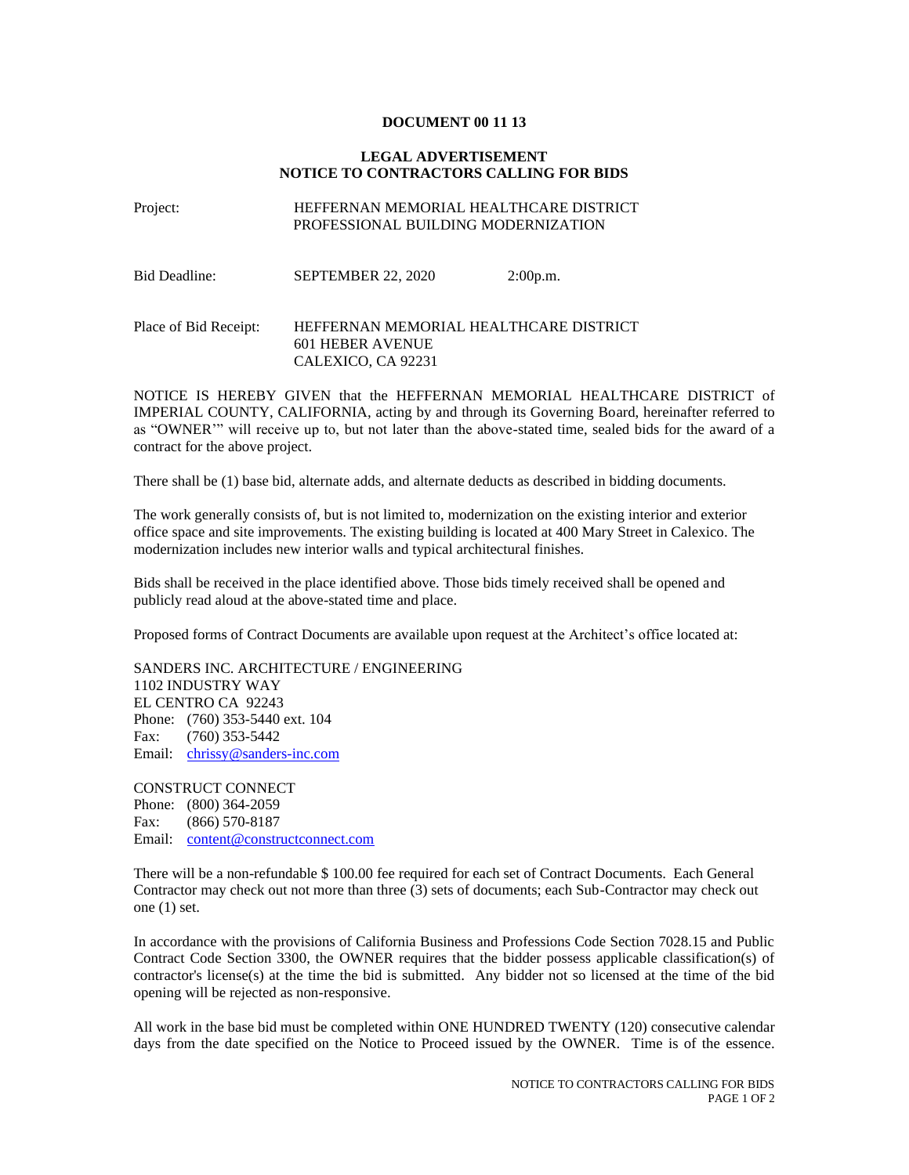## **DOCUMENT 00 11 13**

## **LEGAL ADVERTISEMENT NOTICE TO CONTRACTORS CALLING FOR BIDS**

## Project: HEFFERNAN MEMORIAL HEALTHCARE DISTRICT PROFESSIONAL BUILDING MODERNIZATION

| Bid Deadline:         | SEPTEMBER 22, 2020                                                               | 2:00p.m. |
|-----------------------|----------------------------------------------------------------------------------|----------|
| Place of Bid Receipt: | HEFFERNAN MEMORIAL HEALTHCARE DISTRICT<br>601 HEBER AVENUE<br>CALEXICO, CA 92231 |          |

NOTICE IS HEREBY GIVEN that the HEFFERNAN MEMORIAL HEALTHCARE DISTRICT of IMPERIAL COUNTY, CALIFORNIA, acting by and through its Governing Board, hereinafter referred to as "OWNER'" will receive up to, but not later than the above-stated time, sealed bids for the award of a contract for the above project.

There shall be (1) base bid, alternate adds, and alternate deducts as described in bidding documents.

The work generally consists of, but is not limited to, modernization on the existing interior and exterior office space and site improvements. The existing building is located at 400 Mary Street in Calexico. The modernization includes new interior walls and typical architectural finishes.

Bids shall be received in the place identified above. Those bids timely received shall be opened and publicly read aloud at the above-stated time and place.

Proposed forms of Contract Documents are available upon request at the Architect's office located at:

SANDERS INC. ARCHITECTURE / ENGINEERING 1102 INDUSTRY WAY EL CENTRO CA 92243 Phone: (760) 353-5440 ext. 104 Fax: (760) 353-5442 Email: [chrissy@sanders-inc.com](mailto:chrissy@sanders-inc.com)

CONSTRUCT CONNECT Phone: (800) 364-2059 Fax: (866) 570-8187 Email: [content@constructconnect.com](mailto:content@constructconnect.com)

There will be a non-refundable \$ 100.00 fee required for each set of Contract Documents. Each General Contractor may check out not more than three (3) sets of documents; each Sub-Contractor may check out one (1) set.

In accordance with the provisions of California Business and Professions Code Section 7028.15 and Public Contract Code Section 3300, the OWNER requires that the bidder possess applicable classification(s) of contractor's license(s) at the time the bid is submitted. Any bidder not so licensed at the time of the bid opening will be rejected as non-responsive.

All work in the base bid must be completed within ONE HUNDRED TWENTY (120) consecutive calendar days from the date specified on the Notice to Proceed issued by the OWNER. Time is of the essence.